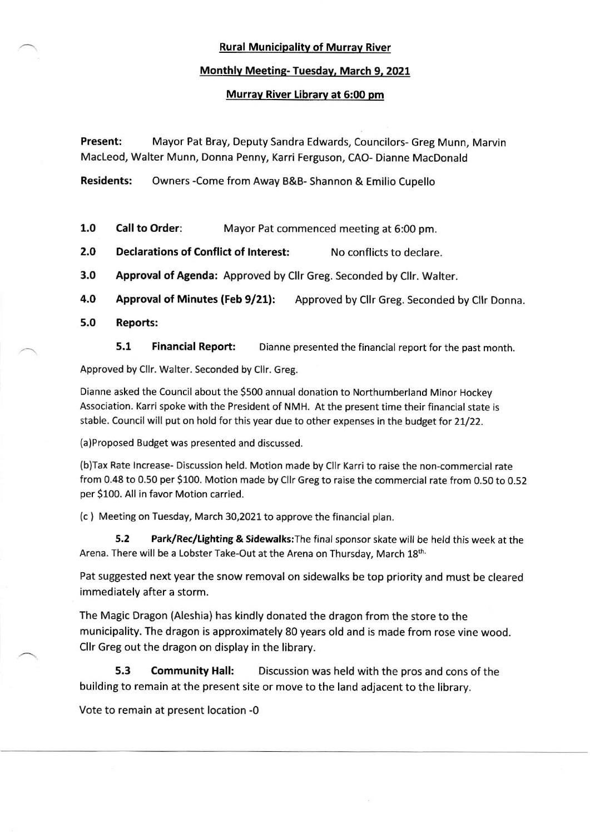# Rural Municipalitv of Murrav River

### Monthlv Meetins- Tuesday. March 9, 2021

## Murrav River Librarv at 5:00 pm

Present: Mayor Pat Bray, Deputy Sandra Edwards, Councilors- Greg Munn, Marvin MacLeod, Walter Munn, Donna Penny, Karri Ferguson, CAO- Dianne MacDonald

Residents: Owners -Come from Away B&B- Shannon & Emilio Cupello

- 1.0 Call to Order: Mayor Pat commenced meeting at 6:00 pm.
- 2.0 Declarations of Conflict of Interest: No conflicts to declare.
- 3.0 Approval of Agenda: Approved by Cllr Greg. Seconded by Cllr. Walter.
- 4.0 Approval of Minutes (Feb 9/21): Approved by Cllr Greg. Seconded by Cllr Donna.
- 5.0 Reports:

5.1 Financial Report: Dianne presented the financial report for the past month.

Approved by Cllr. Walter. Seconded by Cllr. Greg.

Dianne asked the Council about the 5500 annual donation to Northumberland Minor Hockey Association. Karri spoke with the President of NMH. At the present time their financial state is stable. Council will put on hold for this year due to other expenses in the budget for 21/22.

(a)Proposed Budget was presented and discussed.

(b)Tax Rate lncrease- Discussion held. Motion made by Cllr Karri to raise the non-commercial rate from 0.48 to 0.50 per \$100. Motion made by CIlr Greg to raise the commercial rate from O.5O to 0.52 per S1OO. All in favor Motion carried.

(c ) Meeting on Tuesday, March 30,2021 to approve the financial plan.

5.2 Park/Rec/Lighting & Sidewalks: The final sponsor skate will be held this week at the Arena. There will be a Lobster Take-Out at the Arena on Thursday, March 18th.

Pat suggested next year the snow removal on sidewalks be top priority and must be cleared immediately after a storm.

The Magic Dragon (Aleshia) has kindly donated the dragon from the store to the municipality. The dragon is approximately 80 years old and is made from rose vine wood. Cllr Greg out the dragon on display in the library.

5.3 Community Hall: Discussion was held with the pros and cons of the building to remain at the present site or move to the land adjacent to the library.

Vote to remain at present location -0